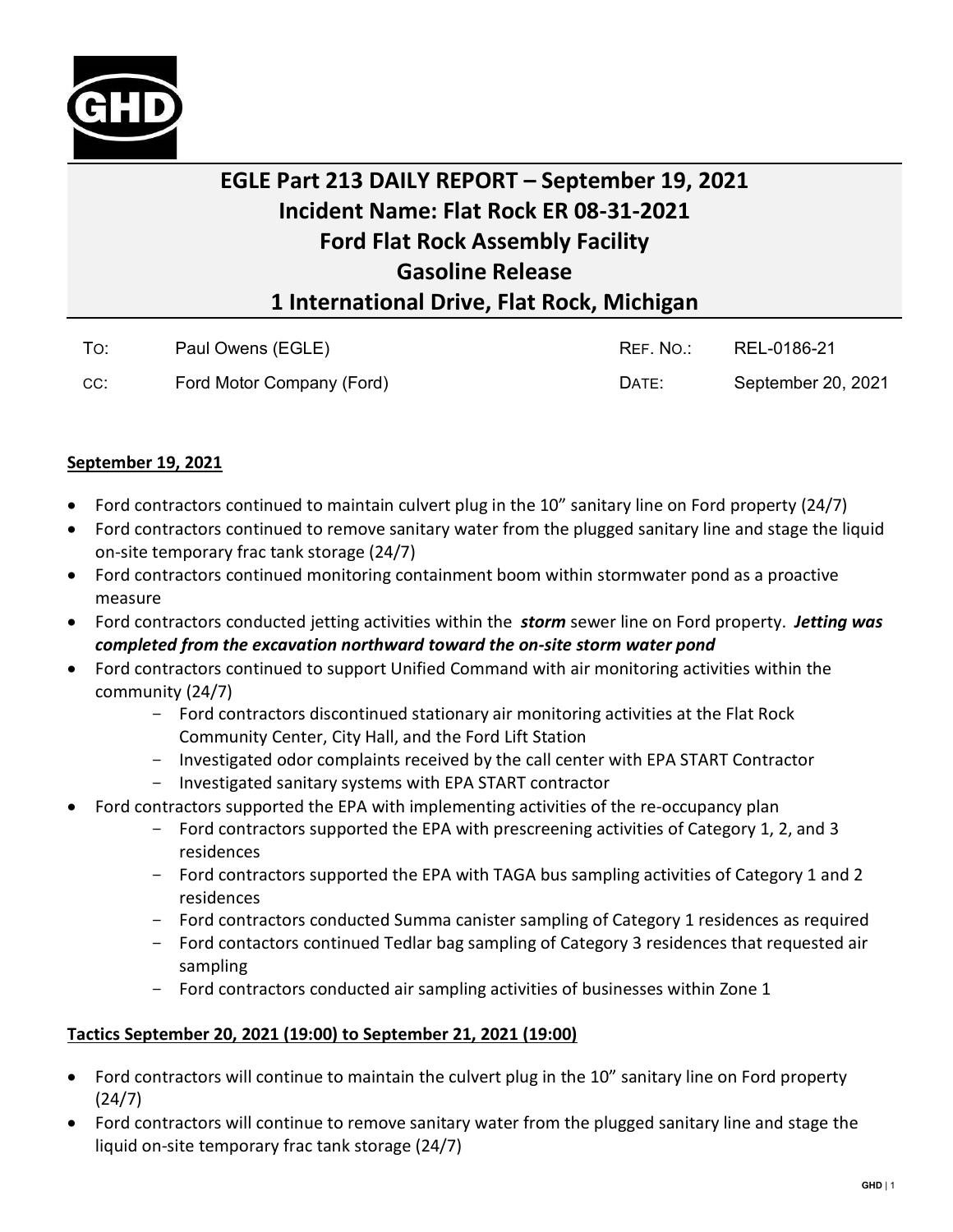

## **EGLE Part 213 DAILY REPORT – September 19, 2021 Incident Name: Flat Rock ER 08-31-2021 Ford Flat Rock Assembly Facility Gasoline Release 1 International Drive, Flat Rock, Michigan**

| To: | Paul Owens (EGLE)         | REF. NO.: | REL-0186-21        |
|-----|---------------------------|-----------|--------------------|
| CC: | Ford Motor Company (Ford) | DATE:     | September 20, 2021 |

## **September 19, 2021**

- Ford contractors continued to maintain culvert plug in the 10" sanitary line on Ford property (24/7)
- Ford contractors continued to remove sanitary water from the plugged sanitary line and stage the liquid on-site temporary frac tank storage (24/7)
- Ford contractors continued monitoring containment boom within stormwater pond as a proactive measure
- Ford contractors conducted jetting activities within the *storm* sewer line on Ford property. *Jetting was completed from the excavation northward toward the on-site storm water pond*
- Ford contractors continued to support Unified Command with air monitoring activities within the community (24/7)
	- Ford contractors discontinued stationary air monitoring activities at the Flat Rock Community Center, City Hall, and the Ford Lift Station
	- Investigated odor complaints received by the call center with EPA START Contractor
	- Investigated sanitary systems with EPA START contractor
- Ford contractors supported the EPA with implementing activities of the re-occupancy plan
	- Ford contractors supported the EPA with prescreening activities of Category 1, 2, and 3 residences
	- Ford contractors supported the EPA with TAGA bus sampling activities of Category 1 and 2 residences
	- Ford contractors conducted Summa canister sampling of Category 1 residences as required - Ford contactors continued Tedlar bag sampling of Category 3 residences that requested air
	- sampling
	- Ford contractors conducted air sampling activities of businesses within Zone 1

## **Tactics September 20, 2021 (19:00) to September 21, 2021 (19:00)**

- Ford contractors will continue to maintain the culvert plug in the 10" sanitary line on Ford property (24/7)
- Ford contractors will continue to remove sanitary water from the plugged sanitary line and stage the liquid on-site temporary frac tank storage (24/7)